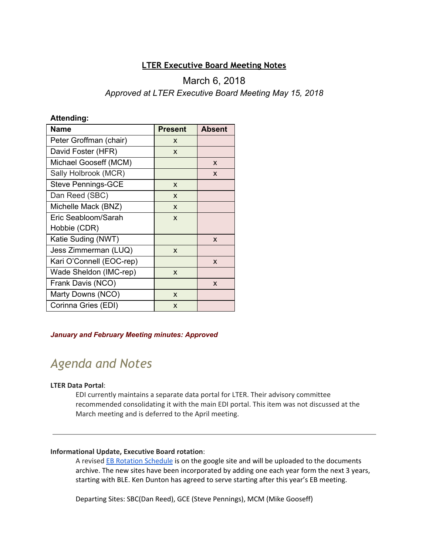### **LTER Executive Board Meeting Notes**

## March 6, 2018 *Approved at LTER Executive Board Meeting May 15, 2018*

#### **Attending:**

| <b>Name</b>               | <b>Present</b> | <b>Absent</b> |
|---------------------------|----------------|---------------|
| Peter Groffman (chair)    | X              |               |
| David Foster (HFR)        | X              |               |
| Michael Gooseff (MCM)     |                | X             |
| Sally Holbrook (MCR)      |                | X             |
| <b>Steve Pennings-GCE</b> | X              |               |
| Dan Reed (SBC)            | X              |               |
| Michelle Mack (BNZ)       | X              |               |
| Eric Seabloom/Sarah       | X              |               |
| Hobbie (CDR)              |                |               |
| Katie Suding (NWT)        |                | X             |
| Jess Zimmerman (LUQ)      | X              |               |
| Kari O'Connell (EOC-rep)  |                | X             |
| Wade Sheldon (IMC-rep)    | X              |               |
| Frank Davis (NCO)         |                | X             |
| Marty Downs (NCO)         | X              |               |
| Corinna Gries (EDI)       | X              |               |

#### *January and February Meeting minutes: Approved*

# *Agenda and Notes*

#### **LTER Data Portal**:

EDI currently maintains a separate data portal for LTER. Their advisory committee recommended consolidating it with the main EDI portal. This item was not discussed at the March meeting and is deferred to the April meeting.

#### **Informational Update, Executive Board rotation**:

A revised EB Rotation [Schedule](https://docs.google.com/spreadsheets/d/1LiFZU_wwLXckTdK41SU8fWa1qg5RUE61XBixXCJZvRA/edit?usp=sharing) is on the google site and will be uploaded to the documents archive. The new sites have been incorporated by adding one each year form the next 3 years, starting with BLE. Ken Dunton has agreed to serve starting after this year's EB meeting.

Departing Sites: SBC(Dan Reed), GCE (Steve Pennings), MCM (Mike Gooseff)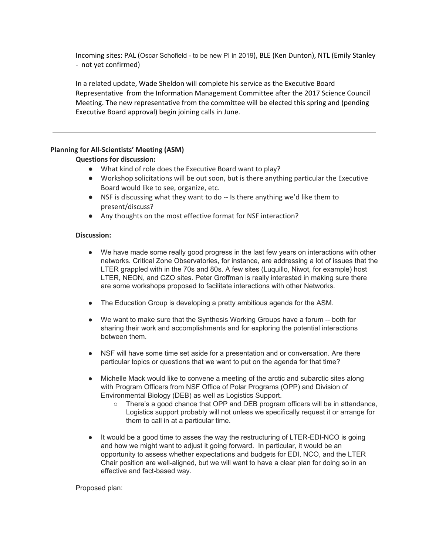Incoming sites: PAL (Oscar Schofield - to be new PI in 2019), BLE (Ken Dunton), NTL (Emily Stanley - not yet confirmed)

In a related update, Wade Sheldon will complete his service as the Executive Board Representative from the Information Management Committee after the 2017 Science Council Meeting. The new representative from the committee will be elected this spring and (pending Executive Board approval) begin joining calls in June.

#### **Planning for All-Scientists' Meeting (ASM)**

#### **Questions for discussion:**

- What kind of role does the Executive Board want to play?
- Workshop solicitations will be out soon, but is there anything particular the Executive Board would like to see, organize, etc.
- NSF is discussing what they want to do -- Is there anything we'd like them to present/discuss?
- Any thoughts on the most effective format for NSF interaction?

#### **Discussion:**

- We have made some really good progress in the last few years on interactions with other networks. Critical Zone Observatories, for instance, are addressing a lot of issues that the LTER grappled with in the 70s and 80s. A few sites (Luquillo, Niwot, for example) host LTER, NEON, and CZO sites. Peter Groffman is really interested in making sure there are some workshops proposed to facilitate interactions with other Networks.
- The Education Group is developing a pretty ambitious agenda for the ASM.
- We want to make sure that the Synthesis Working Groups have a forum -- both for sharing their work and accomplishments and for exploring the potential interactions between them.
- NSF will have some time set aside for a presentation and or conversation. Are there particular topics or questions that we want to put on the agenda for that time?
- Michelle Mack would like to convene a meeting of the arctic and subarctic sites along with Program Officers from NSF Office of Polar Programs (OPP) and Division of Environmental Biology (DEB) as well as Logistics Support.
	- There's a good chance that OPP and DEB program officers will be in attendance, Logistics support probably will not unless we specifically request it or arrange for them to call in at a particular time.
- It would be a good time to asses the way the restructuring of LTER-EDI-NCO is going and how we might want to adjust it going forward. In particular, it would be an opportunity to assess whether expectations and budgets for EDI, NCO, and the LTER Chair position are well-aligned, but we will want to have a clear plan for doing so in an effective and fact-based way.

Proposed plan: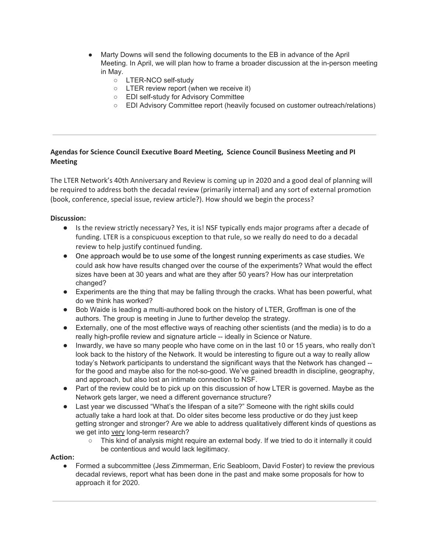- Marty Downs will send the following documents to the EB in advance of the April Meeting. In April, we will plan how to frame a broader discussion at the in-person meeting in May.
	- LTER-NCO self-study
	- LTER review report (when we receive it)
	- EDI self-study for Advisory Committee
	- EDI Advisory Committee report (heavily focused on customer outreach/relations)

#### **Agendas for Science Council Executive Board Meeting, Science Council Business Meeting and PI Meeting**

The LTER Network's 40th Anniversary and Review is coming up in 2020 and a good deal of planning will be required to address both the decadal review (primarily internal) and any sort of external promotion (book, conference, special issue, review article?). How should we begin the process?

#### **Discussion:**

- Is the review strictly necessary? Yes, it is! NSF typically ends major programs after a decade of funding. LTER is a conspicuous exception to that rule, so we really do need to do a decadal review to help justify continued funding.
- One approach would be to use some of the longest running experiments as case studies. We could ask how have results changed over the course of the experiments? What would the effect sizes have been at 30 years and what are they after 50 years? How has our interpretation changed?
- Experiments are the thing that may be falling through the cracks. What has been powerful, what do we think has worked?
- Bob Waide is leading a multi-authored book on the history of LTER, Groffman is one of the authors. The group is meeting in June to further develop the strategy.
- Externally, one of the most effective ways of reaching other scientists (and the media) is to do a really high-profile review and signature article -- ideally in Science or Nature.
- Inwardly, we have so many people who have come on in the last 10 or 15 years, who really don't look back to the history of the Network. It would be interesting to figure out a way to really allow today's Network participants to understand the significant ways that the Network has changed - for the good and maybe also for the not-so-good. We've gained breadth in discipline, geography, and approach, but also lost an intimate connection to NSF.
- Part of the review could be to pick up on this discussion of how LTER is governed. Maybe as the Network gets larger, we need a different governance structure?
- Last year we discussed "What's the lifespan of a site?" Someone with the right skills could actually take a hard look at that. Do older sites become less productive or do they just keep getting stronger and stronger? Are we able to address qualitatively different kinds of questions as we get into very long-term research?
	- This kind of analysis might require an external body. If we tried to do it internally it could be contentious and would lack legitimacy.

#### **Action:**

● Formed a subcommittee (Jess Zimmerman, Eric Seabloom, David Foster) to review the previous decadal reviews, report what has been done in the past and make some proposals for how to approach it for 2020.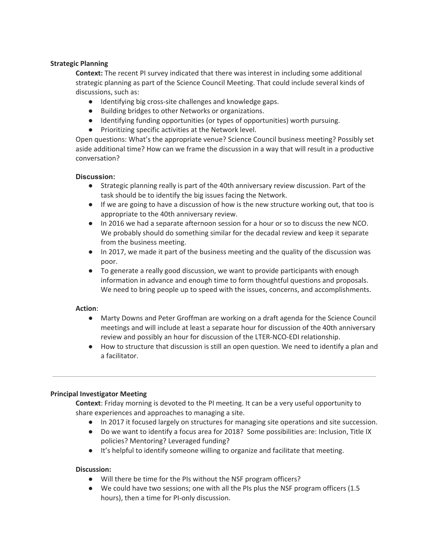#### **Strategic Planning**

**Context:** The recent PI survey indicated that there was interest in including some additional strategic planning as part of the Science Council Meeting. That could include several kinds of discussions, such as:

- Identifying big cross-site challenges and knowledge gaps.
- Building bridges to other Networks or organizations.
- Identifying funding opportunities (or types of opportunities) worth pursuing.
- Prioritizing specific activities at the Network level.

Open questions: What's the appropriate venue? Science Council business meeting? Possibly set aside additional time? How can we frame the discussion in a way that will result in a productive conversation?

#### **Discussion:**

- Strategic planning really is part of the 40th anniversary review discussion. Part of the task should be to identify the big issues facing the Network.
- If we are going to have a discussion of how is the new structure working out, that too is appropriate to the 40th anniversary review.
- In 2016 we had a separate afternoon session for a hour or so to discuss the new NCO. We probably should do something similar for the decadal review and keep it separate from the business meeting.
- In 2017, we made it part of the business meeting and the quality of the discussion was poor.
- To generate a really good discussion, we want to provide participants with enough information in advance and enough time to form thoughtful questions and proposals. We need to bring people up to speed with the issues, concerns, and accomplishments.

#### **Action**:

- Marty Downs and Peter Groffman are working on a draft agenda for the Science Council meetings and will include at least a separate hour for discussion of the 40th anniversary review and possibly an hour for discussion of the LTER-NCO-EDI relationship.
- How to structure that discussion is still an open question. We need to identify a plan and a facilitator.

#### **Principal Investigator Meeting**

**Context**: Friday morning is devoted to the PI meeting. It can be a very useful opportunity to share experiences and approaches to managing a site.

- In 2017 it focused largely on structures for managing site operations and site succession.
- Do we want to identify a focus area for 2018? Some possibilities are: Inclusion, Title IX policies? Mentoring? Leveraged funding?
- It's helpful to identify someone willing to organize and facilitate that meeting.

#### **Discussion:**

- Will there be time for the PIs without the NSF program officers?
- We could have two sessions; one with all the PIs plus the NSF program officers (1.5 hours), then a time for PI-only discussion.